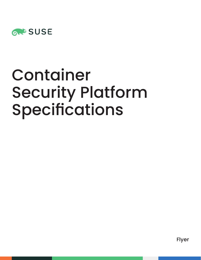

# Container Security Platform Specifications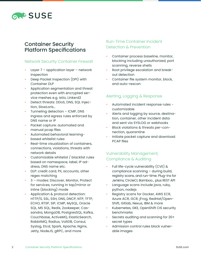

# Container Security Platform Specifications

#### Network Security Container Firewall

- Layer  $7$  application layer network inspection
- Deep Packet Inspection (DPI) with Container DLP
- Application segmentation and threat protection even with encrypted service meshes e.g. Istio, Linkerd2
- Detect threats: DDoS, DNS, SQL Injection, SlowLoris…
- Tunneling detection  $-$  ICMP, DNS Ingress and egress rules enforced by DNS name or IP
- Packet capture: automated and manual pcap files
- Automated behavioral learningbased whitelist rules
- Real-time visualization of containers, connections, violations, threats with network details
- Customizable whitelist / blacklist rules based on namespace, label, IP address, DNS name etc.
- DLP: credit card, PII, accounts, other regex matching
- 3 modes: Discover, Monitor, Protect for services, running in tap/mirror or inline (blocking) mode
- Application & protocol detection: HTTP/S, SSL, SSH, DNS, DNCP, NTP, TFTP, ECHO, RTSP, SIP, ICMP, MySQL, Oracle SQL, MS SQL, Redis, Zookeeper, Cassandra, MongoDB, PostgresSQL, Kafka, Couchbase, ActiveMQ, ElasticSearch, RabbitMQ, Radius, VoltDB, Consul, Syslog, Etcd, Spark, Apache, Nginx, Jetty, NodeJS, gRPC, and more

#### Run-Time Container Incident Detection & Prevention

- Container process baseline, monitor, blocking including unauthorized, port scanning, reverse shells
- Root privilege escalation and breakout detection
- Container file system monitor, block, and auto-rescan

### Alerting, Logging & Response

- Automated incident response rules customizable
- Alerts and logging by source, destination, container, other incident data and sent via SYSLOG or webhooks
- Block violations & threats per-connection, quarantine
- Initiate packet capture and download PCAP files

# Vulnerability Management, Compliance & Auditing

- Full life-cycle vulnerability (CVE) & compliance scanning – during build, registry scans, and run-time. Plug-ins for Jenkins, CircleCI, Bamboo… plus REST API
- Language scans include java, ruby, python, nodejs
- Registry scans for Docker, AWS ECR, Azure ACR, GCR, jFrog, RedHat/Open-Shift, Gitlab, Nexus, IBM & more
- Kubernetes, GKE, OpenShift CIS security benchmarks
- Secrets auditing and scanning for 20+ secret types
- Admission control rules block vulnerable images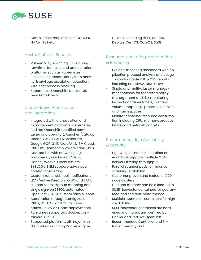

• Compliance templates for PCI, GDPR, HIPAA, NIST etc.

#### Host & Platform Security

- Vulnerability scanning live during run-time, for hosts and orchestration platforms such as Kubernetes
- Suspicious process, file system activity & privilege escalation detection, with host process blocking
- Kubernetes, OpenShift, Docker CIS benchmark tests

## Cloud-Native Automation and Integration

- Integrated with orchestration and management platforms: Kubernetes, Red Hat OpenShift (certified container and operator), Rancher (catalog listed), AWS ECS/EKS, Mesos etc., Google GCP/GKE, Azure/AKS, IBM Cloud, OKE, PKS, Diamanti, VMWare Tanzu, PKS
- Compatible with network plug-ins and overlays including Calico, Flannel, Weave, OpenShift etc. SYSLOG / SIEM support-advanced correlation/alerting
- Customizable webhook notifications
- LDAP/Active Directory, OIDC and SAML support for role/group mapping and single sign-on (SSO), automated OpenShift RBACs, custom roles support
- Automation through ConfigMaps, CRDs, REST API and CLI for cloudnative 'Policy as Code' deployments
- Run-times supported: docker, containerd, CRI-O
- Supported platforms: all major linux distributions running Docker engine

CE or EE, including RHEL, Ubuntu, Debian, CentOS, CoreOS, SuSE

### Resource Monitoring, Visualization & Reporting

- Exploit risk scoring dashboard with application protocol analysis and usage – downloadable PDF & CSV reports including PCI, HIPAA, NIST, GDPR
- Single and multi-cluster management console for federated policy management and risk monitoring
- Inspect container labels, port and volume mappings, processes, service and namespaces
- Monitor container resource consumption including CPU, memory, process history and network packets

# Performance, High Availability & Security

- Lightweight 'Enforcer' container on each host supports multiple Gb/s network filtering throughput
- Parallel scanner pods for massive scanning scalability
- Customer proven and tested to 1000 node clusters
- CPU and memory can be allocated to SUSE Neuvector containers for guaranteed and scalable performance
- Multiple 'Controller' containers for high availability
- SUSE Neuvector containers are hardened, monitored, and certified by Docker and Red Hat OpenShift
- Recommended Controller and Enforcer memory: 1GB